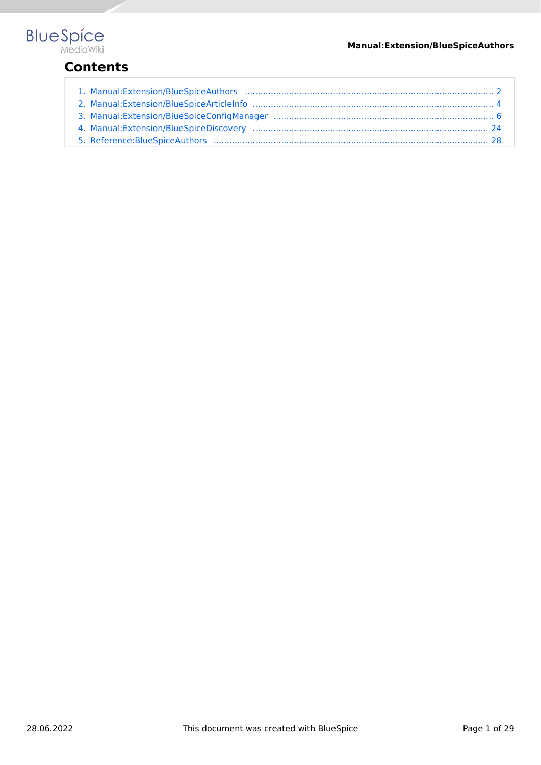

# **Contents**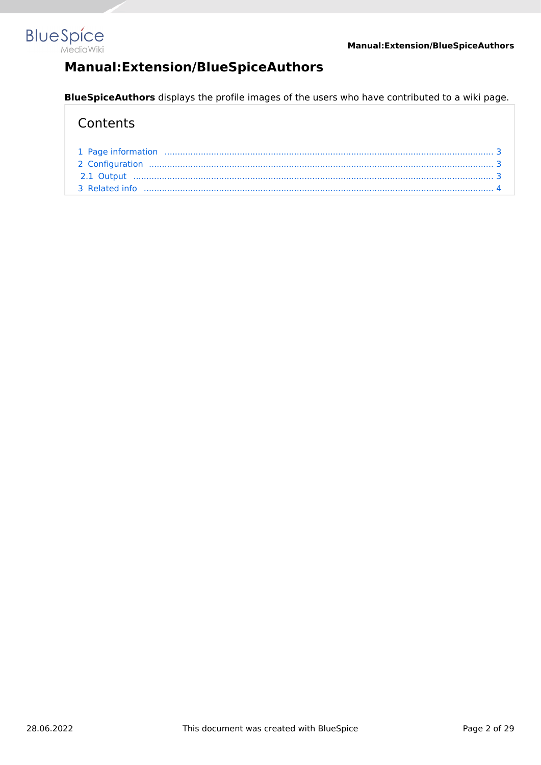<span id="page-1-0"></span>

# **Manual:Extension/BlueSpiceAuthors**

**BlueSpiceAuthors** displays the profile images of the users who have contributed to a wiki page.

### **Contents**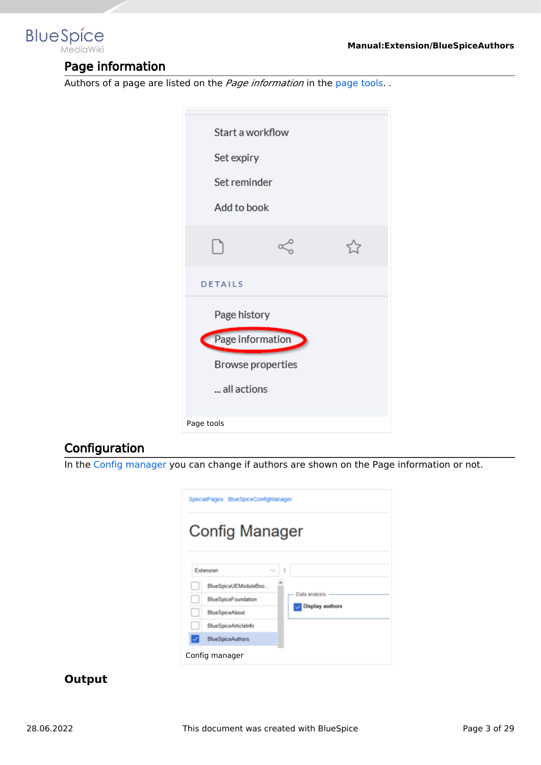<span id="page-2-0"></span>

### Page information

Authors of a page are listed on the *Page information* in the [page tools.](#page-25-0) *.*



### <span id="page-2-1"></span>**Configuration**

In the [Config manager](#page-5-0) you can change if authors are shown on the Page information or not.

| SpecialPages: BlueSpiceConfigManager |                                                 |  |  |  |
|--------------------------------------|-------------------------------------------------|--|--|--|
| <b>Config Manager</b>                |                                                 |  |  |  |
| Extension                            |                                                 |  |  |  |
|                                      | BlueSpiceUEModuleBoo                            |  |  |  |
|                                      | Data analysis<br><b>BlueSpiceFoundation</b>     |  |  |  |
|                                      | <b>Display authors</b><br><b>BlueSpiceAbout</b> |  |  |  |
|                                      | <b>BlueSpiceArticleInfo</b>                     |  |  |  |
|                                      | <b>BlueSpiceAuthors</b>                         |  |  |  |
| Config manager                       |                                                 |  |  |  |

### <span id="page-2-2"></span>**Output**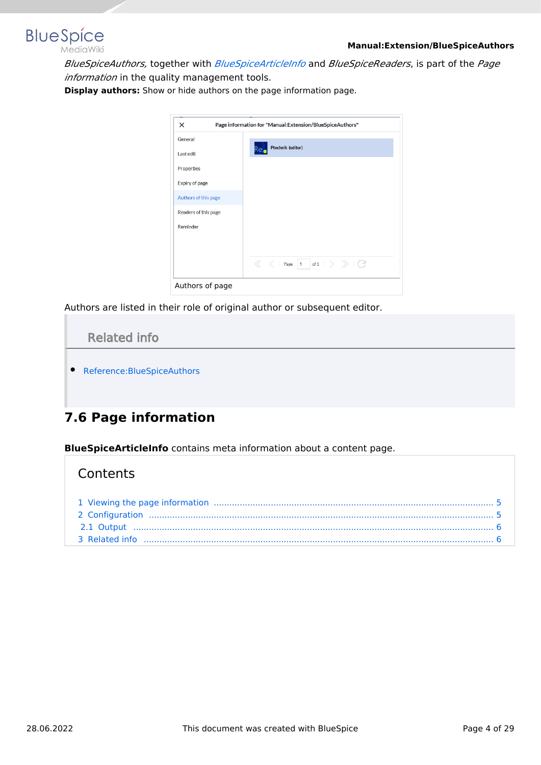

*BlueSpiceAuthors,* together with *[BlueSpiceArticleInfo](#page-3-0)* and *BlueSpiceReaders*, is part of the *Page information* in the quality management tools.

**Display authors:** Show or hide authors on the page information page.

| $\times$             | Page information for "Manual:Extension/BlueSpiceAuthors" |  |
|----------------------|----------------------------------------------------------|--|
| General              |                                                          |  |
| Last edit            | Ptechnik (editor)                                        |  |
| Properties           |                                                          |  |
| Expiry of page       |                                                          |  |
| Authors of this page |                                                          |  |
| Readers of this page |                                                          |  |
| Reminder             |                                                          |  |
|                      |                                                          |  |
|                      |                                                          |  |
|                      | $\ll$ <   Page 1 of 1 $\gt$ $\gg$   $\degree$            |  |
| Authors of page      |                                                          |  |

Authors are listed in their role of original author or subsequent editor.

<span id="page-3-1"></span>

# <span id="page-3-0"></span>**7.6 Page information**

**BlueSpiceArticleInfo** contains meta information about a content page.

### **Contents**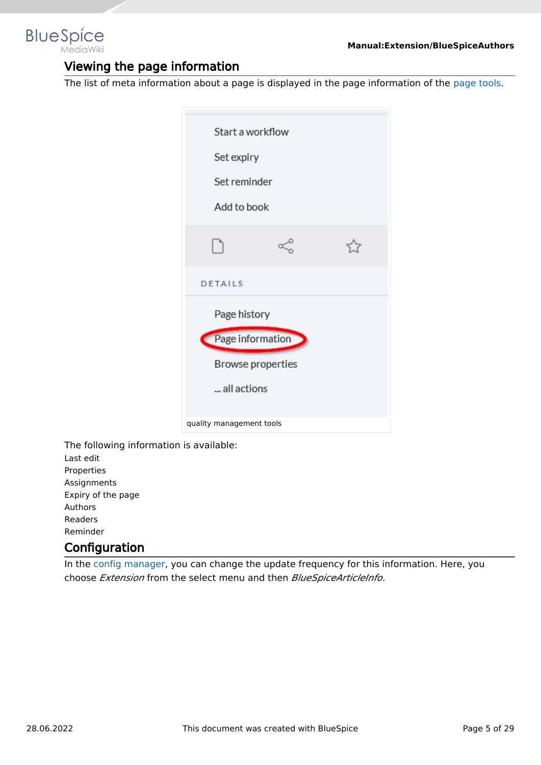<span id="page-4-0"></span>

### Viewing the page information

The list of meta information about a page is displayed in the page information of the [page tools](#page-25-0).

| Start a workflow<br>Set expiry<br>Set reminder<br>Add to book |  |  |  |  |
|---------------------------------------------------------------|--|--|--|--|
| ו ו                                                           |  |  |  |  |
| DETAILS                                                       |  |  |  |  |
| Page history                                                  |  |  |  |  |
| Page information                                              |  |  |  |  |
| Browse properties                                             |  |  |  |  |
| all actions                                                   |  |  |  |  |
| quality management tools                                      |  |  |  |  |

The following information is available: Last edit Properties Assignments Expiry of the page Authors Readers Reminder

### <span id="page-4-1"></span>**Configuration**

In the [config manager,](#page-5-0) you can change the update frequency for this information. Here, you choose *Extension* from the select menu and then *BlueSpiceArticleInfo*.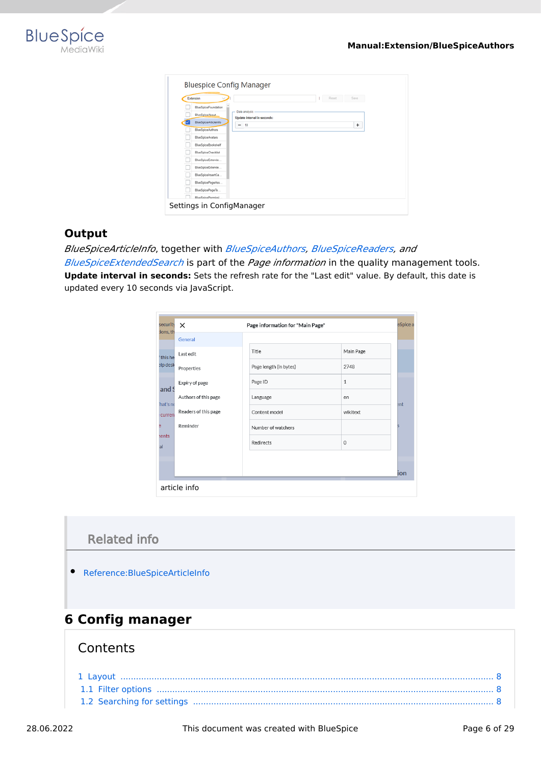

| <b>Bluespice Config Manager</b> |                                              |  |
|---------------------------------|----------------------------------------------|--|
| Extension                       | Reset<br>Save<br>1                           |  |
| BlueSpiceFoundation             |                                              |  |
| BlueSpiceAbout                  | Data analysis<br>Update interval in seconds: |  |
| BlueSpiceArticleInfo            | 10<br>÷<br>$\overline{\phantom{a}}$          |  |
| BlueSpiceAuthors                |                                              |  |
| BlueSpiceAvatars                |                                              |  |
| BlueSpiceBookshelf              |                                              |  |
| <b>BlueSpiceChecklist</b>       |                                              |  |
| BlueSpiceExtende                |                                              |  |
| BlueSpiceExtende                |                                              |  |
| BlueSpiceInsertCa               |                                              |  |
| BlueSpicePageAss                |                                              |  |
| BlueSpicePageTe                 |                                              |  |
| BlueSpicePermissi               |                                              |  |
| Settings in ConfigManager       |                                              |  |

### <span id="page-5-1"></span>**Output**

*BlueSpiceArticleInfo*, together with *[BlueSpiceAuthors](#page-1-0), [BlueSpiceReaders,](https://en.wiki.bluespice.com/wiki/Manual:Extension/BlueSpiceReaders) and* 

*[BlueSpiceExtendedSearch](https://en.wiki.bluespice.com/wiki/Manual:Extension/BlueSpiceExtendedSearch)* is part of the *Page information* in the quality management tools. **Update interval in seconds:** Sets the refresh rate for the "Last edit" value. By default, this date is updated every 10 seconds via JavaScript.

| security<br>ions, th | $\times$             | Page information for "Main Page" | eSpice a |
|----------------------|----------------------|----------------------------------|----------|
|                      | General              |                                  |          |
| this he              | Last edit            | Title<br>Main Page               |          |
| elp desk             | Properties           | Page length (in bytes)<br>2748   |          |
|                      | Expiry of page       | $\mathbf{1}$<br>Page ID          |          |
| and S                | Authors of this page | Language<br>en                   |          |
| hat's ne<br>curren   | Readers of this page | Content model<br>wikitext        | ent      |
|                      | Reminder             | Number of watchers               |          |
| <b>rents</b>         |                      | Redirects<br>$\mathbf 0$         |          |
|                      |                      |                                  |          |
|                      |                      |                                  | ion      |

# <span id="page-5-2"></span>Related info

[Reference:BlueSpiceArticleInfo](https://en.wiki.bluespice.com/wiki/Reference:BlueSpiceArticleInfo)

# <span id="page-5-0"></span>**6 Config manager**

### **Contents**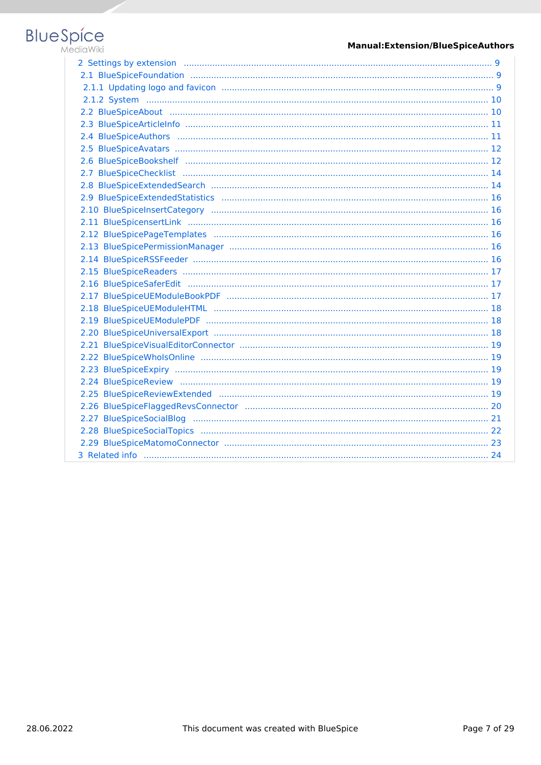# **Blue** Spice

#### **Manual:Extension/BlueSpiceAuthors**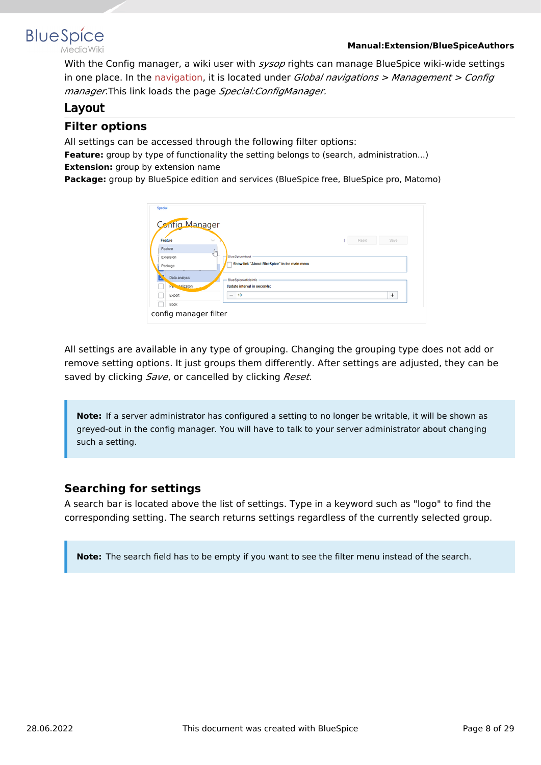



With the Config manager, a wiki user with *sysop* rights can manage BlueSpice wiki-wide settings in one place. In the [navigation](https://en.wiki.bluespice.com/w/index.php?title=BlueSpice_Layout&action=view), it is located under *Global navigations > Management > Config manager*.This link loads the page *Special:ConfigManager.*

### <span id="page-7-0"></span>Layout

### <span id="page-7-1"></span>**Filter options**

All settings can be accessed through the following filter options:

**Feature:** group by type of functionality the setting belongs to (search, administration...) **Extension:** group by extension name

**Package:** group by BlueSpice edition and services (BlueSpice free, BlueSpice pro, Matomo)

| Save<br>Feature<br>Reset<br>$\checkmark$<br>Feature<br>$\int_{\Omega}$<br><b>BlueSpiceAbout</b><br>Extension<br>Show link "About BlueSpice" in the main menu<br>Package<br>Data analysis<br><b>BlueSpiceArticleInfo</b><br>Pellinnalization<br>Update interval in seconds:<br>$\ddot{}$<br>10<br>Export<br>-<br>Book:<br>config manager filter |
|------------------------------------------------------------------------------------------------------------------------------------------------------------------------------------------------------------------------------------------------------------------------------------------------------------------------------------------------|
|------------------------------------------------------------------------------------------------------------------------------------------------------------------------------------------------------------------------------------------------------------------------------------------------------------------------------------------------|

All settings are available in any type of grouping. Changing the grouping type does not add or remove setting options. It just groups them differently. After settings are adjusted, they can be saved by clicking *Save*, or cancelled by clicking *Reset*.

**Note:** If a server administrator has configured a setting to no longer be writable, it will be shown as greyed-out in the config manager. You will have to talk to your server administrator about changing such a setting.

### <span id="page-7-2"></span>**Searching for settings**

A search bar is located above the list of settings. Type in a keyword such as "logo" to find the corresponding setting. The search returns settings regardless of the currently selected group.

**Note:** The search field has to be empty if you want to see the filter menu instead of the search.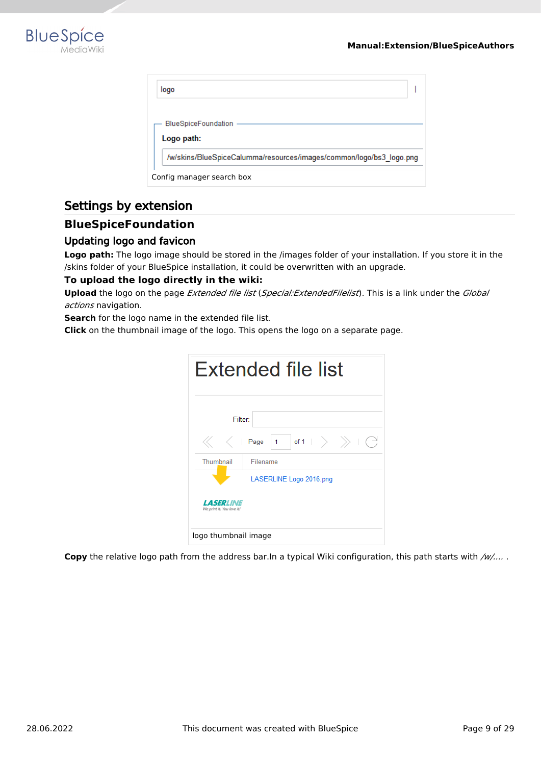

| logo                                                                |  |
|---------------------------------------------------------------------|--|
| <b>BlueSpiceFoundation</b><br>Logo path:                            |  |
| /w/skins/BlueSpiceCalumma/resources/images/common/logo/bs3_logo.png |  |
| Config manager search box                                           |  |

### <span id="page-8-0"></span>Settings by extension

### <span id="page-8-1"></span>**BlueSpiceFoundation**

#### <span id="page-8-2"></span>Updating logo and favicon

**Logo path:** The logo image should be stored in the /images folder of your installation. If you store it in the /skins folder of your BlueSpice installation, it could be overwritten with an upgrade.

#### **To upload the logo directly in the wiki:**

**Upload** the logo on the page *Extended file list* (*Special:ExtendedFilelist*). This is a link under the *Global actions* navigation.

**Search** for the logo name in the extended file list.

**Click** on the thumbnail image of the logo. This opens the logo on a separate page.

| Extended file list                            |                                                                                                                                                                      |  |
|-----------------------------------------------|----------------------------------------------------------------------------------------------------------------------------------------------------------------------|--|
|                                               | Filter:                                                                                                                                                              |  |
|                                               | $ \hspace{.06cm}$ of 1 $ $ $\hspace{.08cm}$ $\rangle$ $\hspace{.08cm}$ $\rangle$ $ $ $\hspace{.06cm}$ $\hspace{.08cm}$ $\hspace{.08cm}$<br>$1 -$<br>$\langle$   Page |  |
| Thumbnail                                     | Filename                                                                                                                                                             |  |
|                                               | LASERLINE Logo 2016.png                                                                                                                                              |  |
| <b>LASERLINE</b><br>We print it. You love it! |                                                                                                                                                                      |  |
| logo thumbnail image                          |                                                                                                                                                                      |  |

**Copy** the relative logo path from the address bar.In a typical Wiki configuration, this path starts with */w/....* .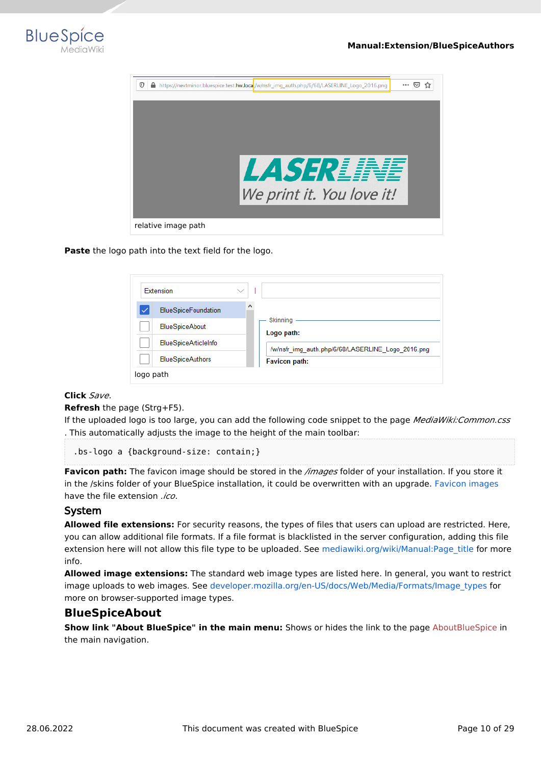



**Paste** the logo path into the text field for the logo.

| Extension                   |                                                   |
|-----------------------------|---------------------------------------------------|
| <b>BlueSpiceFoundation</b>  | ۸                                                 |
| <b>BlueSpiceAbout</b>       | Skinning<br>Logo path:                            |
| <b>BlueSpiceArticleInfo</b> | /w/nsfr img auth.php/6/68/LASERLINE Logo 2016.png |
| <b>BlueSpiceAuthors</b>     | Favicon path:                                     |
| logo path                   |                                                   |

#### **Click** *Save*.

**Refresh** the page (Strg+F5).

If the uploaded logo is too large, you can add the following code snippet to the page *MediaWiki:Common.css* . This automatically adjusts the image to the height of the main toolbar:

.bs-logo a {background-size: contain;}

**Favicon path:** The favicon image should be stored in the */images* folder of your installation. If you store it in the /skins folder of your BlueSpice installation, it could be overwritten with an upgrade. [Favicon images](https://de.wikipedia.org/wiki/Favicon) have the file extension *.ico*.

#### <span id="page-9-0"></span>System

**Allowed file extensions:** For security reasons, the types of files that users can upload are restricted. Here, you can allow additional file formats. If a file format is blacklisted in the server configuration, adding this file extension here will not allow this file type to be uploaded. See [mediawiki.org/wiki/Manual:Page\\_title](https://mediawiki.org/wiki/Manual:Page_title) for more info.

**Allowed image extensions:** The standard web image types are listed here. In general, you want to restrict image uploads to web images. See [developer.mozilla.org/en-US/docs/Web/Media/Formats/Image\\_types](https://developer.mozilla.org/en-US/docs/Web/Media/Formats/Image_types) for more on browser-supported image types.

#### <span id="page-9-1"></span>**BlueSpiceAbout**

**Show link "About BlueSpice" in the main menu:** Shows or hides the link to the page [AboutBlueSpice](https://en.wiki.bluespice.com/w/index.php?title=Extension/AboutBlueSpice&action=view) in the main navigation.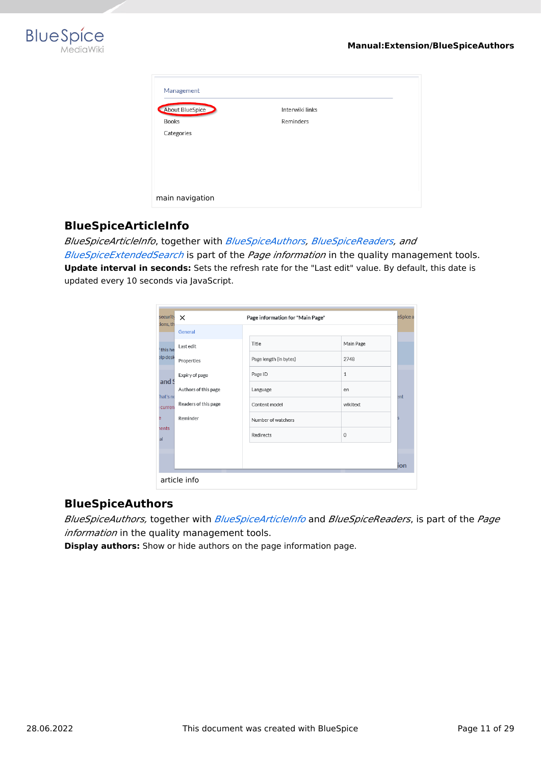

| Management      |                 |  |
|-----------------|-----------------|--|
| About BlueSpice | Interwiki links |  |
| <b>Books</b>    | Reminders       |  |
| Categories      |                 |  |
| main navigation |                 |  |

### <span id="page-10-0"></span>**BlueSpiceArticleInfo**

*BlueSpiceArticleInfo*, together with *[BlueSpiceAuthors](#page-1-0), [BlueSpiceReaders,](https://en.wiki.bluespice.com/wiki/Manual:Extension/BlueSpiceReaders) and* 

*[BlueSpiceExtendedSearch](https://en.wiki.bluespice.com/wiki/Manual:Extension/BlueSpiceExtendedSearch)* is part of the *Page information* in the quality management tools. **Update interval in seconds:** Sets the refresh rate for the "Last edit" value. By default, this date is updated every 10 seconds via JavaScript.

| security<br>ions, th | $\times$             | Page information for "Main Page" |              | eSpice a |
|----------------------|----------------------|----------------------------------|--------------|----------|
|                      | General              |                                  |              |          |
| this he              | I ast edit           | Title                            | Main Page    |          |
| elp desk             | Properties           | Page length (in bytes)           | 2748         |          |
|                      | Expiry of page       | Page ID                          | $\mathbf{1}$ |          |
| and 9                | Authors of this page | Language                         | en           |          |
| hat's ne<br>curren   | Readers of this page | Content model                    | wikitext     | ent      |
| в                    | Reminder             | Number of watchers               |              | 5        |
| ents<br>al           |                      | Redirects                        | $\mathbf 0$  |          |
|                      |                      |                                  |              |          |
|                      |                      |                                  |              | ion      |
|                      | article info         |                                  |              |          |

### <span id="page-10-1"></span>**BlueSpiceAuthors**

*BlueSpiceAuthors,* together with *[BlueSpiceArticleInfo](#page-3-0)* and *BlueSpiceReaders*, is part of the *Page information* in the quality management tools.

**Display authors:** Show or hide authors on the page information page.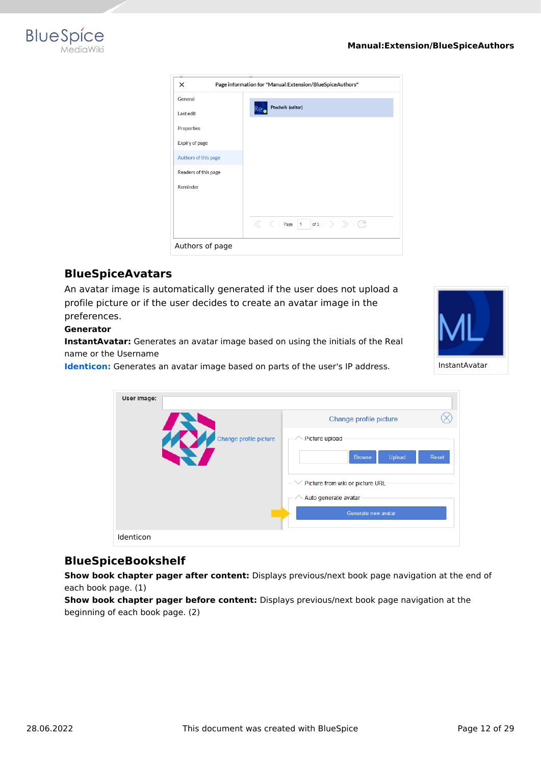

| $\times$             | Page information for "Manual:Extension/BlueSpiceAuthors"                                                                         |
|----------------------|----------------------------------------------------------------------------------------------------------------------------------|
| General              |                                                                                                                                  |
| Last edit            | Ptechnik (editor)<br>ĸе                                                                                                          |
| Properties           |                                                                                                                                  |
| Expiry of page       |                                                                                                                                  |
| Authors of this page |                                                                                                                                  |
| Readers of this page |                                                                                                                                  |
| Reminder             |                                                                                                                                  |
|                      |                                                                                                                                  |
|                      | $\ \ \ll \ \ \ \langle \ \ \vert \ \ {\sf Page} \ \ \vert \ 1 \ \ \ \vert \ {\sf of} \ 1 \ \ \ > \ \ \ \gg \ \ \vert \ \ \big\}$ |
| Authors of page      |                                                                                                                                  |

### <span id="page-11-0"></span>**BlueSpiceAvatars**

An avatar image is automatically generated if the user does not upload a profile picture or if the user decides to create an avatar image in the preferences.

#### **Generator**

**InstantAvatar:** Generates an avatar image based on using the initials of the Real name or the Username

**[Identicon:](https://en.wikipedia.org/wiki/Identicon)** Generates an avatar image based on parts of the user's IP address.



| User image:            |                                              |
|------------------------|----------------------------------------------|
|                        | Change profile picture                       |
| Change profile picture | Picture upload                               |
|                        | Upload<br><b>Browse</b><br>Reset             |
|                        | Picture from wiki or picture URL<br>$- \vee$ |
|                        | Auto generate avatar                         |
|                        | Generate new avatar                          |
| Identicon              |                                              |

### <span id="page-11-1"></span>**BlueSpiceBookshelf**

**Show book chapter pager after content:** Displays previous/next book page navigation at the end of each book page. (1)

**Show book chapter pager before content:** Displays previous/next book page navigation at the beginning of each book page. (2)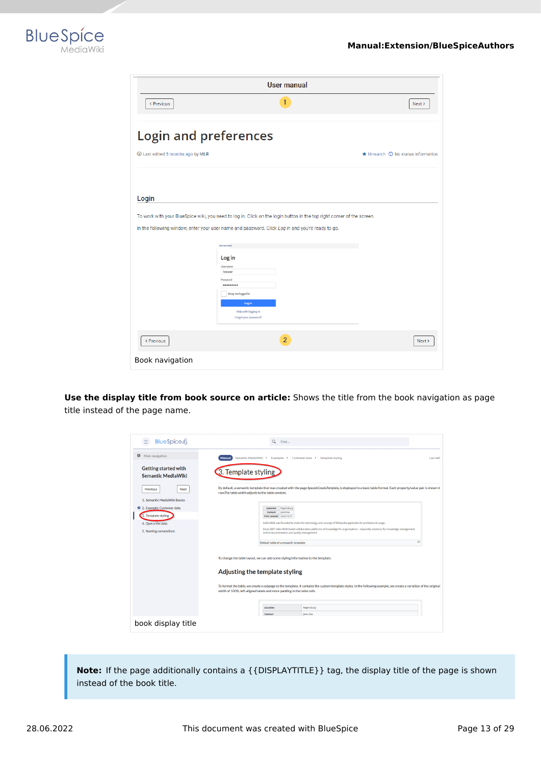

|                                   | <b>User manual</b>                                                                                                                                                                                                                                   |                                                     |
|-----------------------------------|------------------------------------------------------------------------------------------------------------------------------------------------------------------------------------------------------------------------------------------------------|-----------------------------------------------------|
| < Previous                        | 1                                                                                                                                                                                                                                                    | Next >                                              |
| <b>Login and preferences</b>      |                                                                                                                                                                                                                                                      |                                                     |
| 1 Last edited 3 months ago by MLR |                                                                                                                                                                                                                                                      | $\bigstar$ Unwatch $\bigcirc$ No status information |
|                                   |                                                                                                                                                                                                                                                      |                                                     |
| Login                             |                                                                                                                                                                                                                                                      |                                                     |
|                                   | To work with your BlueSpice wiki, you need to log in. Click on the login button in the top right corner of the screen.<br>In the following window, enter your user name and password. Click Log in and you're ready to go.<br>SPECIAL PAGE<br>Log in |                                                     |
|                                   | Username<br>Testuser<br>Password<br><br>Keep me logged in                                                                                                                                                                                            |                                                     |
|                                   | Log in<br><b>Help with logging in</b><br>Forgot your password?                                                                                                                                                                                       |                                                     |
| < Previous                        | $\overline{2}$                                                                                                                                                                                                                                       | Next >                                              |
| Book navigation                   |                                                                                                                                                                                                                                                      |                                                     |

**Use the display title from book source on article:** Shows the title from the book navigation as page title instead of the page name.

| BlueSpice 4<br>Ξ                                         | $\alpha$<br>Find                                                                                                                                                                                                                                                                                    |           |
|----------------------------------------------------------|-----------------------------------------------------------------------------------------------------------------------------------------------------------------------------------------------------------------------------------------------------------------------------------------------------|-----------|
| ◒<br>Main navigation                                     | Semantic MediaWiki ▶ Examples ▶ Customer data ▶<br><b>Manual</b><br>Template styling                                                                                                                                                                                                                | Last edit |
| <b>Getting started with</b><br><b>Semantic MediaWiki</b> | 3. Template styling                                                                                                                                                                                                                                                                                 |           |
| Next<br>Previous<br>1. Semantic MediaWiki Basics         | By default, a semantic template that was created with the page Special:CreateTemplate, is displayed in a basic table format. Each property/value pair is shown in<br>row.The table width adjusts to the table content.                                                                              |           |
| 2. Example: Customer data<br>3. Template styling         | Location<br>Regensburg<br>Jane Doe<br>Contact<br>First contact 2020/12/21                                                                                                                                                                                                                           |           |
| 4. Query the data<br>5. Naming conventions               | Hallo Welt! was founded to make the technology and concept of Wikipedia applicable for professional usage.<br>Since 2007 Hallo Welt! builds collaborative platforms of knowledge for organisations - especially solutions for knowledge management,<br>online documentation and quality management. |           |
|                                                          | 47<br>Default table of a semantic template                                                                                                                                                                                                                                                          |           |
|                                                          | To change the table layout, we can add some styling information to the template.                                                                                                                                                                                                                    |           |
|                                                          | Adjusting the template styling                                                                                                                                                                                                                                                                      |           |
|                                                          | To format the table, we create a subpage to the template. It contains the custom template styles. In the following example, we create a variation of the original<br>width of 100%, left-aligned labels and more padding in the table cells.                                                        |           |
|                                                          | Location<br>Regensburg                                                                                                                                                                                                                                                                              |           |
| book display title                                       | Contact<br>Jane Doe                                                                                                                                                                                                                                                                                 |           |

**Note:** If the page additionally contains a {{DISPLAYTITLE}} tag, the display title of the page is shown instead of the book title.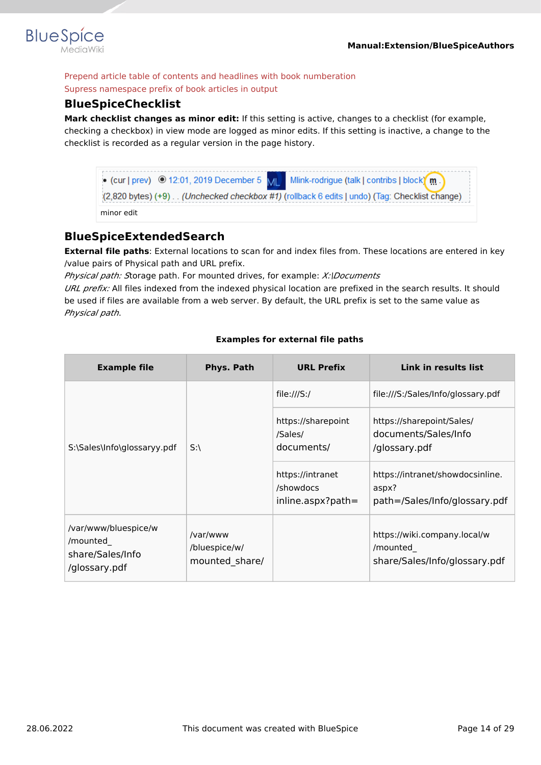

Prepend article table of contents and headlines with book numberation Supress namespace prefix of book articles in output

### <span id="page-13-0"></span>**BlueSpiceChecklist**

**Mark checklist changes as minor edit:** If this setting is active, changes to a checklist (for example, checking a checkbox) in view mode are logged as minor edits. If this setting is inactive, a change to the checklist is recorded as a regular version in the page history.

| • (cur   prev) © 12:01, 2019 December 5 $\text{MI}$ Mlink-rodrigue (talk   contribs   block) m<br>(2,820 bytes) (+9) (Unchecked checkbox #1) (rollback 6 edits   undo) (Tag: Checklist change) |
|------------------------------------------------------------------------------------------------------------------------------------------------------------------------------------------------|
| minor edit                                                                                                                                                                                     |

### <span id="page-13-1"></span>**BlueSpiceExtendedSearch**

**External file paths**: External locations to scan for and index files from. These locations are entered in key /value pairs of Physical path and URL prefix.

*Physical path: S*torage path. For mounted drives, for example: *X:\Documents*

*URL prefix:* All files indexed from the indexed physical location are prefixed in the search results. It should be used if files are available from a web server. By default, the URL prefix is set to the same value as *Physical path*.

#### **Examples for external file paths**

| <b>Example file</b>                                                   | Phys. Path                                  | <b>URL Prefix</b>                                    | Link in results list                                                       |
|-----------------------------------------------------------------------|---------------------------------------------|------------------------------------------------------|----------------------------------------------------------------------------|
|                                                                       |                                             | file:///S:/                                          | file:///S:/Sales/Info/glossary.pdf                                         |
| S:\Sales\Info\glossaryy.pdf                                           | $S:\setminus$                               | https://sharepoint<br>/Sales/<br>documents/          | https://sharepoint/Sales/<br>documents/Sales/Info<br>/glossary.pdf         |
|                                                                       |                                             | https://intranet<br>/showdocs<br>$inline.aspx?path=$ | https://intranet/showdocsinline.<br>aspx?<br>path=/Sales/Info/glossary.pdf |
| /var/www/bluespice/w<br>/mounted<br>share/Sales/Info<br>/glossary.pdf | /var/www<br>/bluespice/w/<br>mounted share/ |                                                      | https://wiki.company.local/w<br>/mounted<br>share/Sales/Info/glossary.pdf  |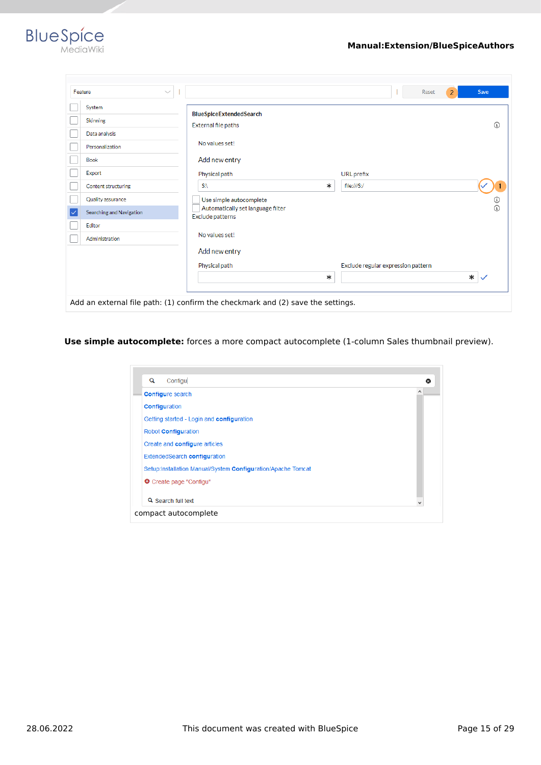

|    | Feature<br>$\checkmark$  |                                                                                 |        | Reset                              | $\overline{2}$ | Save        |
|----|--------------------------|---------------------------------------------------------------------------------|--------|------------------------------------|----------------|-------------|
|    | System                   | <b>BlueSpiceExtendedSearch</b>                                                  |        |                                    |                |             |
|    | <b>Skinning</b>          | External file paths                                                             |        |                                    |                | $\Omega$    |
|    | Data analysis            |                                                                                 |        |                                    |                |             |
|    | Personalization          | No values set!                                                                  |        |                                    |                |             |
|    | <b>Book</b>              | Add new entry                                                                   |        |                                    |                |             |
|    | Export                   | Physical path                                                                   |        | URL prefix                         |                |             |
|    | Content structuring      | SA.                                                                             | $\ast$ | file:///S:/                        |                |             |
|    | Quality assurance        | Use simple autocomplete                                                         |        |                                    |                | ⊙           |
| ∣✓ | Searching and Navigation | Automatically set language filter<br>Exclude patterns                           |        |                                    |                | $\odot$     |
|    | Editor                   |                                                                                 |        |                                    |                |             |
|    | Administration           | No values set!                                                                  |        |                                    |                |             |
|    |                          | Add new entry                                                                   |        |                                    |                |             |
|    |                          | Physical path                                                                   |        | Exclude regular expression pattern |                |             |
|    |                          |                                                                                 | ∗      |                                    |                | $\ast \vee$ |
|    |                          |                                                                                 |        |                                    |                |             |
|    |                          | Add an external file path: (1) confirm the checkmark and (2) save the settings. |        |                                    |                |             |

**Use simple autocomplete:** forces a more compact autocomplete (1-column Sales thumbnail preview).

| Q | Configu                                                      | ഒ |
|---|--------------------------------------------------------------|---|
|   | <b>Configure search</b>                                      | Α |
|   | <b>Configuration</b>                                         |   |
|   | Getting started - Login and configuration                    |   |
|   | Robot Configuration                                          |   |
|   | Create and configure articles                                |   |
|   | ExtendedSearch configuration                                 |   |
|   | Setup:Installation Manual/System Configuration/Apache Tomcat |   |
|   | O Create page "Configu"                                      |   |
|   | Q Search full text                                           |   |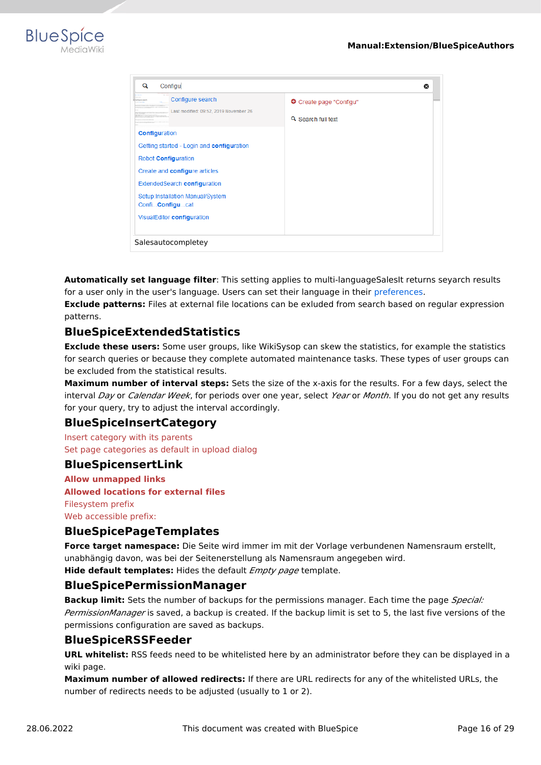

| Q | Configu                                                                                                                                                                                                                                         |                                                      | ☎ |
|---|-------------------------------------------------------------------------------------------------------------------------------------------------------------------------------------------------------------------------------------------------|------------------------------------------------------|---|
|   | Configure search<br>Last modified: 09:52, 2019 November 26                                                                                                                                                                                      | <b>O</b> Create page "Configu"<br>Q Search full text |   |
|   | <b>Configuration</b><br>Getting started - Login and configuration<br>Robot Configuration<br>Create and configure articles<br>ExtendedSearch configuration<br>Setup:Installation Manual/System<br>Confi Configucat<br>VisualEditor configuration |                                                      |   |
|   | Salesautocompletey                                                                                                                                                                                                                              |                                                      |   |

**Automatically set language filter**: This setting applies to multi-languageSalesIt returns seyarch results for a user only in the user's language. Users can set their language in their [preferences.](https://en.wiki.bluespice.com/wiki/Manual:Preferences)

**Exclude patterns:** Files at external file locations can be exluded from search based on regular expression patterns.

### <span id="page-15-0"></span>**BlueSpiceExtendedStatistics**

**Exclude these users:** Some user groups, like WikiSysop can skew the statistics, for example the statistics for search queries or because they complete automated maintenance tasks. These types of user groups can be excluded from the statistical results.

**Maximum number of interval steps:** Sets the size of the x-axis for the results. For a few days, select the interval *Day* or *Calendar Week*, for periods over one year, select *Year* or *Month*. If you do not get any results for your query, try to adjust the interval accordingly.

### <span id="page-15-1"></span>**BlueSpiceInsertCategory**

Insert category with its parents Set page categories as default in upload dialog

#### <span id="page-15-2"></span>**BlueSpicensertLink**

**Allow unmapped links Allowed locations for external files** Filesystem prefix Web accessible prefix:

### <span id="page-15-3"></span>**BlueSpicePageTemplates**

**Force target namespace:** Die Seite wird immer im mit der Vorlage verbundenen Namensraum erstellt, unabhängig davon, was bei der Seitenerstellung als Namensraum angegeben wird.

**Hide default templates:** Hides the default *Empty page* template.

#### <span id="page-15-4"></span>**BlueSpicePermissionManager**

**Backup limit:** Sets the number of backups for the permissions manager. Each time the page *Special: PermissionManager* is saved, a backup is created. If the backup limit is set to 5, the last five versions of the permissions configuration are saved as backups.

#### <span id="page-15-5"></span>**BlueSpiceRSSFeeder**

**URL whitelist:** RSS feeds need to be whitelisted here by an administrator before they can be displayed in a wiki page.

**Maximum number of allowed redirects:** If there are URL redirects for any of the whitelisted URLs, the number of redirects needs to be adjusted (usually to 1 or 2).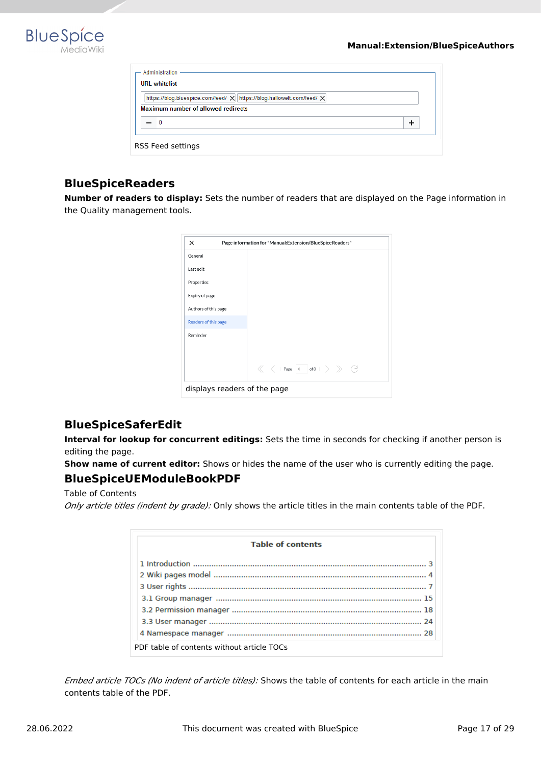

| - Administration<br><b>URI</b> whitelist                                                                     |  |
|--------------------------------------------------------------------------------------------------------------|--|
| https://blog.bluespice.com/feed/ X https://blog.hallowelt.com/feed/ X<br>Maximum number of allowed redirects |  |
| - 0                                                                                                          |  |
| RSS Feed settings                                                                                            |  |

### <span id="page-16-0"></span>**BlueSpiceReaders**

**Number of readers to display:** Sets the number of readers that are displayed on the Page information in the Quality management tools.

| $\times$                     | Page information for "Manual:Extension/BlueSpiceReaders" |
|------------------------------|----------------------------------------------------------|
| General                      |                                                          |
| Last edit                    |                                                          |
| Properties                   |                                                          |
| Expiry of page               |                                                          |
| Authors of this page         |                                                          |
| Readers of this page         |                                                          |
| Reminder                     |                                                          |
|                              |                                                          |
|                              |                                                          |
| displays readers of the page |                                                          |

### <span id="page-16-1"></span>**BlueSpiceSaferEdit**

**Interval for lookup for concurrent editings:** Sets the time in seconds for checking if another person is editing the page.

**Show name of current editor:** Shows or hides the name of the user who is currently editing the page.

### <span id="page-16-2"></span>**BlueSpiceUEModuleBookPDF**

Table of Contents *Only article titles (indent by grade):* Only shows the article titles in the main contents table of the PDF.

| <b>Table of contents</b>                   |  |
|--------------------------------------------|--|
|                                            |  |
|                                            |  |
|                                            |  |
|                                            |  |
|                                            |  |
|                                            |  |
|                                            |  |
| PDF table of contents without article TOCs |  |

*Embed article TOCs (No indent of article titles):* Shows the table of contents for each article in the main contents table of the PDF.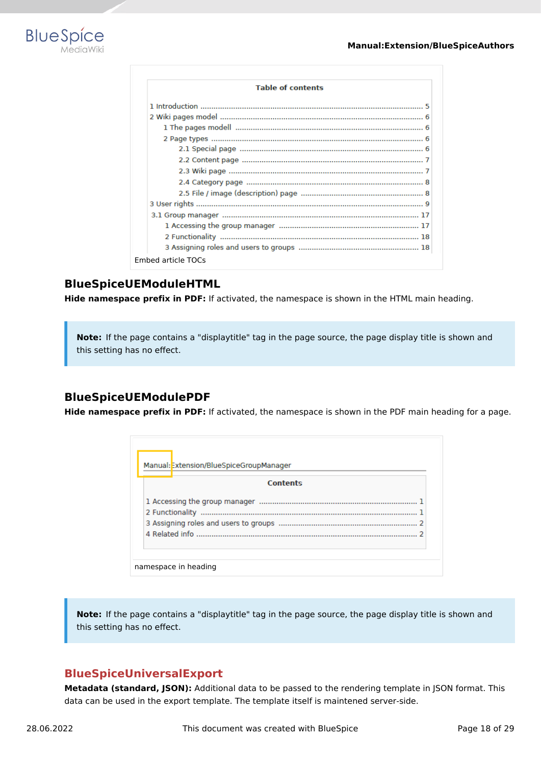

| <b>Table of contents</b> |
|--------------------------|
|                          |
|                          |
|                          |
|                          |
|                          |
|                          |
|                          |
|                          |
|                          |
|                          |
|                          |
|                          |
|                          |
|                          |

### <span id="page-17-0"></span>**BlueSpiceUEModuleHTML**

**Hide namespace prefix in PDF:** If activated, the namespace is shown in the HTML main heading.

**Note:** If the page contains a "displaytitle" tag in the page source, the page display title is shown and this setting has no effect.

### <span id="page-17-1"></span>**BlueSpiceUEModulePDF**

**Hide namespace prefix in PDF:** If activated, the namespace is shown in the PDF main heading for a page.

| Manual: Extension/BlueSpiceGroupManager |
|-----------------------------------------|
| Contents                                |
|                                         |
|                                         |
|                                         |
|                                         |

**Note:** If the page contains a "displaytitle" tag in the page source, the page display title is shown and this setting has no effect.

### <span id="page-17-2"></span>**BlueSpiceUniversalExport**

namespace in heading

**Metadata (standard, JSON):** Additional data to be passed to the rendering template in JSON format. This data can be used in the export template. The template itself is maintened server-side.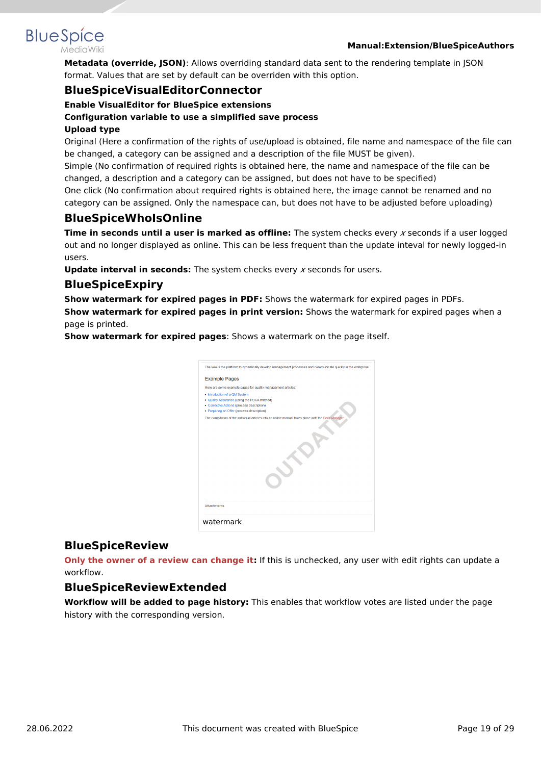#### **Manual:Extension/BlueSpiceAuthors**

<span id="page-18-0"></span>**BlueSpice** 

**Metadata (override, JSON)**: Allows overriding standard data sent to the rendering template in JSON format. Values that are set by default can be overriden with this option.

#### **BlueSpiceVisualEditorConnector**

#### **Enable VisualEditor for BlueSpice extensions**

#### **Configuration variable to use a simplified save process**

#### **Upload type**

Original (Here a confirmation of the rights of use/upload is obtained, file name and namespace of the file can be changed, a category can be assigned and a description of the file MUST be given).

Simple (No confirmation of required rights is obtained here, the name and namespace of the file can be changed, a description and a category can be assigned, but does not have to be specified)

One click (No confirmation about required rights is obtained here, the image cannot be renamed and no category can be assigned. Only the namespace can, but does not have to be adjusted before uploading)

### <span id="page-18-1"></span>**BlueSpiceWhoIsOnline**

**Time in seconds until a user is marked as offline:** The system checks every *x* seconds if a user logged out and no longer displayed as online. This can be less frequent than the update inteval for newly logged-in users.

**Update interval in seconds:** The system checks every *x* seconds for users.

#### <span id="page-18-2"></span>**BlueSpiceExpiry**

**Show watermark for expired pages in PDF:** Shows the watermark for expired pages in PDFs. **Show watermark for expired pages in print version:** Shows the watermark for expired pages when a page is printed.

**Show watermark for expired pages**: Shows a watermark on the page itself.

| The wiki is the platform to dynamically develop management processes and communicate quickly in the enterprise. |  |
|-----------------------------------------------------------------------------------------------------------------|--|
| <b>Example Pages</b>                                                                                            |  |
| Here are some example pages for quality management articles:                                                    |  |
| . Introduction of a QM System                                                                                   |  |
| . Quality Assurance (using the PDCA method)                                                                     |  |
| • Corrective Actions (process description)                                                                      |  |
| • Preparing an Offer (process description)                                                                      |  |
| The compilation of the individual articles into an online manual takes place with the Book Manager.             |  |
|                                                                                                                 |  |
| <b>Attachments</b>                                                                                              |  |
|                                                                                                                 |  |
| watermark                                                                                                       |  |

### <span id="page-18-3"></span>**BlueSpiceReview**

**Only the owner of a review can change it:** If this is unchecked, any user with edit rights can update a workflow.

### <span id="page-18-4"></span>**BlueSpiceReviewExtended**

**Workflow will be added to page history:** This enables that workflow votes are listed under the page history with the corresponding version.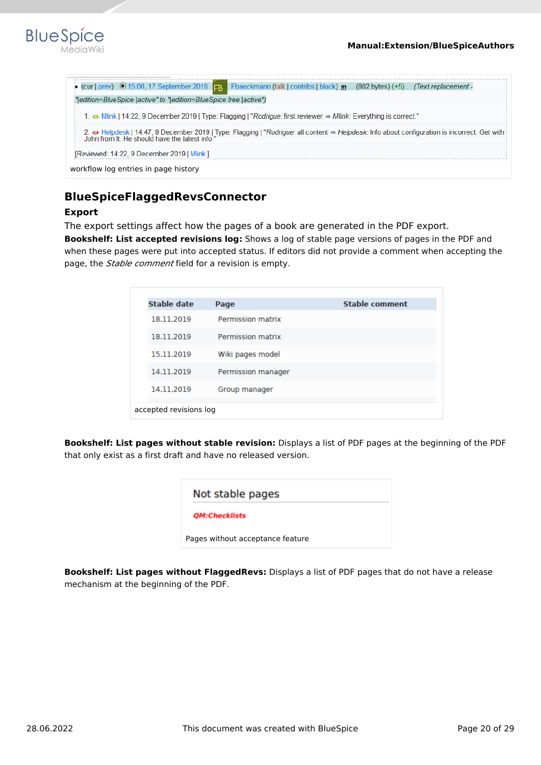

| • (cur   prev) $\odot$ 15:00, 17 September 2019 $F_B$ Fbaeckmann (talk   contribs   block) m. (802 bytes) (+5). (Text replacement -                                                           |
|-----------------------------------------------------------------------------------------------------------------------------------------------------------------------------------------------|
|                                                                                                                                                                                               |
| " edition=BlueSpice   active" to " edition=BlueSpice free   active")                                                                                                                          |
|                                                                                                                                                                                               |
| 1. • Mlink   14:22, 9 December 2019   Type: Flagging   "Rodrigue: first reviewer $\Rightarrow$ Mlink: Everything is correct."                                                                 |
| 2.  Interpries in 14:47, 9 December 2019   Type: Flagging   "Rodrigue: all content ⇒ Helpdesk: Info about configuration is incorrect. Get with John from It. He should have the latest info." |
| [Reviewed: 14:22, 9 December 2019   Mlink ]                                                                                                                                                   |
| workflow log entries in page history                                                                                                                                                          |

### <span id="page-19-0"></span>**BlueSpiceFlaggedRevsConnector**

#### **Export**

The export settings affect how the pages of a book are generated in the PDF export.

**Bookshelf: List accepted revisions log:** Shows a log of stable page versions of pages in the PDF and when these pages were put into accepted status. If editors did not provide a comment when accepting the page, the *Stable comment* field for a revision is empty.

| Stable date | Page                     | <b>Stable comment</b> |
|-------------|--------------------------|-----------------------|
| 18.11.2019  | Permission matrix        |                       |
| 18.11.2019  | <b>Permission matrix</b> |                       |
| 15.11.2019  | Wiki pages model         |                       |
| 14.11.2019  | Permission manager       |                       |
| 14.11.2019  | Group manager            |                       |

**Bookshelf: List pages without stable revision:** Displays a list of PDF pages at the beginning of the PDF that only exist as a first draft and have no released version.

| Not stable pages                 |  |
|----------------------------------|--|
| <b>QM:Checklists</b>             |  |
| Pages without acceptance feature |  |

**Bookshelf: List pages without FlaggedRevs:** Displays a list of PDF pages that do not have a release mechanism at the beginning of the PDF.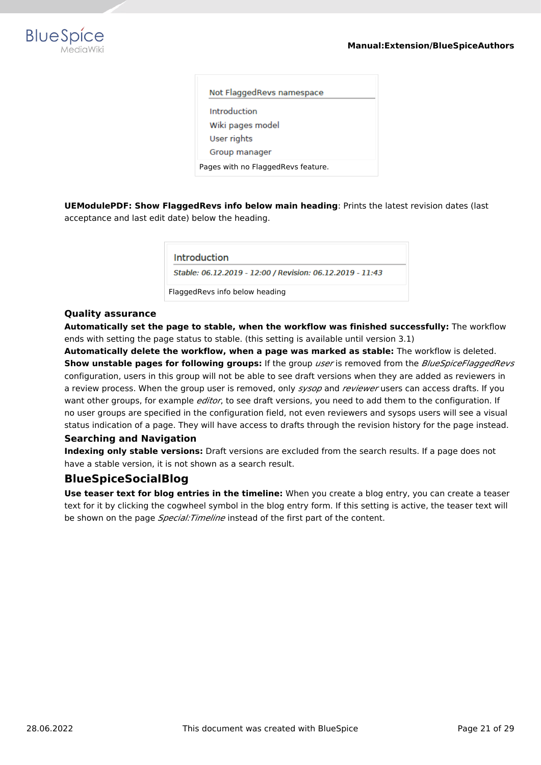

| Not FlaggedRevs namespace          |  |  |  |  |  |  |  |
|------------------------------------|--|--|--|--|--|--|--|
| Introduction                       |  |  |  |  |  |  |  |
| Wiki pages model                   |  |  |  |  |  |  |  |
| User rights                        |  |  |  |  |  |  |  |
| Group manager                      |  |  |  |  |  |  |  |
| Pages with no FlaggedRevs feature. |  |  |  |  |  |  |  |
|                                    |  |  |  |  |  |  |  |

**UEModulePDF: Show FlaggedRevs info below main heading**: Prints the latest revision dates (last acceptance and last edit date) below the heading.

Introduction

Stable: 06.12.2019 - 12:00 / Revision: 06.12.2019 - 11:43

FlaggedRevs info below heading

#### **Quality assurance**

**Automatically set the page to stable, when the workflow was finished successfully:** The workflow ends with setting the page status to stable. (this setting is available until version 3.1)

**Automatically delete the workflow, when a page was marked as stable:** The workflow is deleted. **Show unstable pages for following groups:** If the group *user* is removed from the *BlueSpiceFlaggedRevs* configuration, users in this group will not be able to see draft versions when they are added as reviewers in a review process. When the group user is removed, only *sysop* and *reviewer* users can access drafts. If you want other groups, for example *editor*, to see draft versions, you need to add them to the configuration. If no user groups are specified in the configuration field, not even reviewers and sysops users will see a visual status indication of a page. They will have access to drafts through the revision history for the page instead.

#### **Searching and Navigation**

**Indexing only stable versions:** Draft versions are excluded from the search results. If a page does not have a stable version, it is not shown as a search result.

#### <span id="page-20-0"></span>**BlueSpiceSocialBlog**

**Use teaser text for blog entries in the timeline:** When you create a blog entry, you can create a teaser text for it by clicking the cogwheel symbol in the blog entry form. If this setting is active, the teaser text will be shown on the page *Special:Timeline* instead of the first part of the content.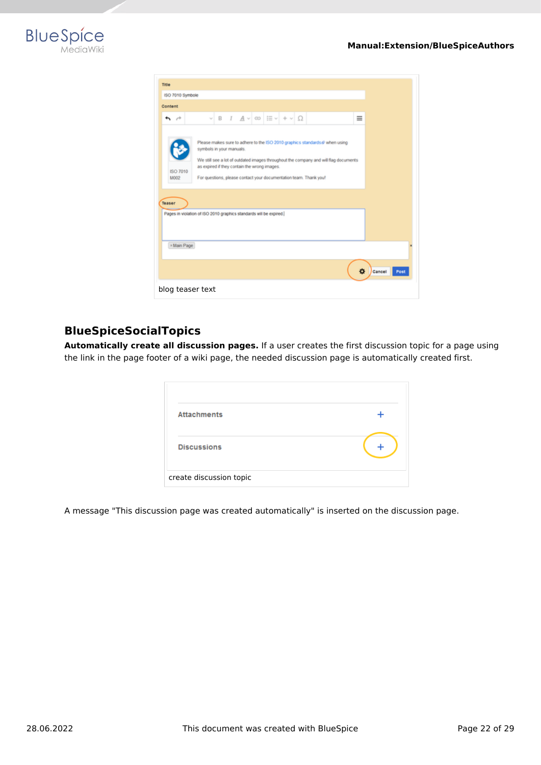

| Title                                                                        |                          |                                                        |  |                                                                                                                                                                                                                                          |   |               |      |
|------------------------------------------------------------------------------|--------------------------|--------------------------------------------------------|--|------------------------------------------------------------------------------------------------------------------------------------------------------------------------------------------------------------------------------------------|---|---------------|------|
| ISO 7010 Symbole                                                             |                          |                                                        |  |                                                                                                                                                                                                                                          |   |               |      |
| Content                                                                      |                          |                                                        |  |                                                                                                                                                                                                                                          |   |               |      |
| $\sim$                                                                       |                          | $\vee$ B I $A \vee \infty$ $\equiv \vee + \vee \Omega$ |  |                                                                                                                                                                                                                                          | Ξ |               |      |
| ISO 7010<br>M002                                                             | symbols in your manuals. | as expired if they contain the wrong images.           |  | Please makes sure to adhere to the ISO 2010 graphics standards @ when using<br>We still see a lot of outdated images throughout the company and will flag documents<br>For questions, please contact your documentation team. Thank you! |   |               |      |
| Teaser<br>Pages in violation of ISO 2010 graphics standards will be expired. |                          |                                                        |  |                                                                                                                                                                                                                                          |   |               |      |
|                                                                              |                          |                                                        |  |                                                                                                                                                                                                                                          |   |               |      |
| × Main Page                                                                  |                          |                                                        |  |                                                                                                                                                                                                                                          |   |               |      |
|                                                                              |                          |                                                        |  |                                                                                                                                                                                                                                          | 舂 | <b>Cancel</b> | Post |
| blog teaser text                                                             |                          |                                                        |  |                                                                                                                                                                                                                                          |   |               |      |

### <span id="page-21-0"></span>**BlueSpiceSocialTopics**

**Automatically create all discussion pages.** If a user creates the first discussion topic for a page using the link in the page footer of a wiki page, the needed discussion page is automatically created first.

| <b>Attachments</b>      |  |
|-------------------------|--|
| <b>Discussions</b>      |  |
| create discussion topic |  |

A message "This discussion page was created automatically" is inserted on the discussion page.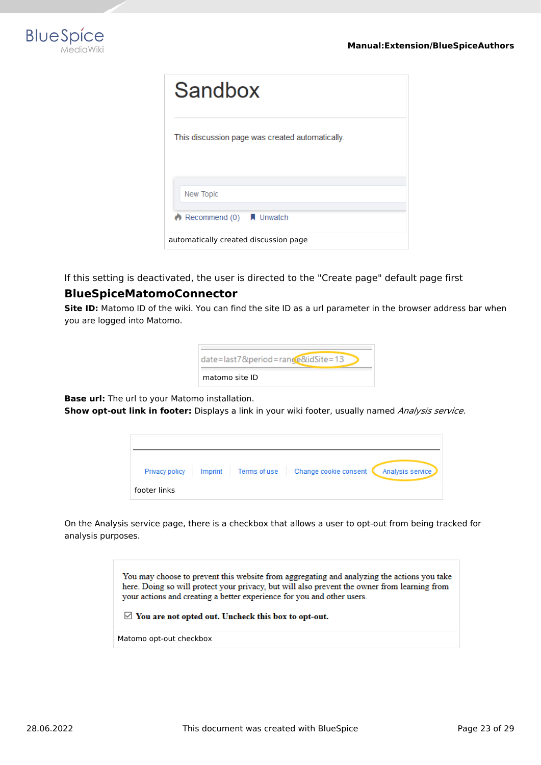

| Sandbox                                         |
|-------------------------------------------------|
| This discussion page was created automatically. |
| <b>New Topic</b>                                |
| Recommend $(0)$   Unwatch                       |
| automatically created discussion page           |

If this setting is deactivated, the user is directed to the "Create page" default page first

### <span id="page-22-0"></span>**BlueSpiceMatomoConnector**

**Site ID:** Matomo ID of the wiki. You can find the site ID as a url parameter in the browser address bar when you are logged into Matomo.

| date=last7.=rance&idSite=13 |
|-----------------------------|
| matomo site ID              |

**Base url:** The url to your Matomo installation.

**Show opt-out link in footer:** Displays a link in your wiki footer, usually named *Analysis service*.

| Privacy policy<br>Imprint<br>Terms of use | Change cookie consent<br>Analysis service |
|-------------------------------------------|-------------------------------------------|
| footer links                              |                                           |

On the Analysis service page, there is a checkbox that allows a user to opt-out from being tracked for analysis purposes.

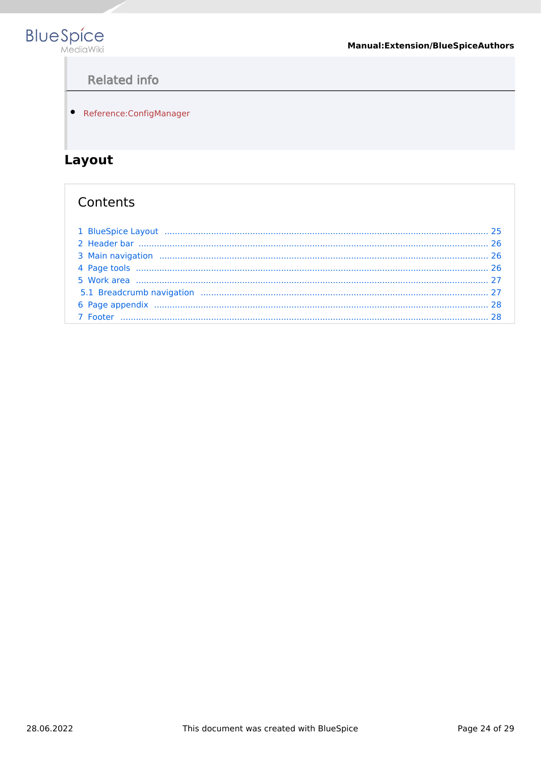<span id="page-23-1"></span>

# **Related info**

• Reference:ConfigManager

# <span id="page-23-0"></span>Layout

## Contents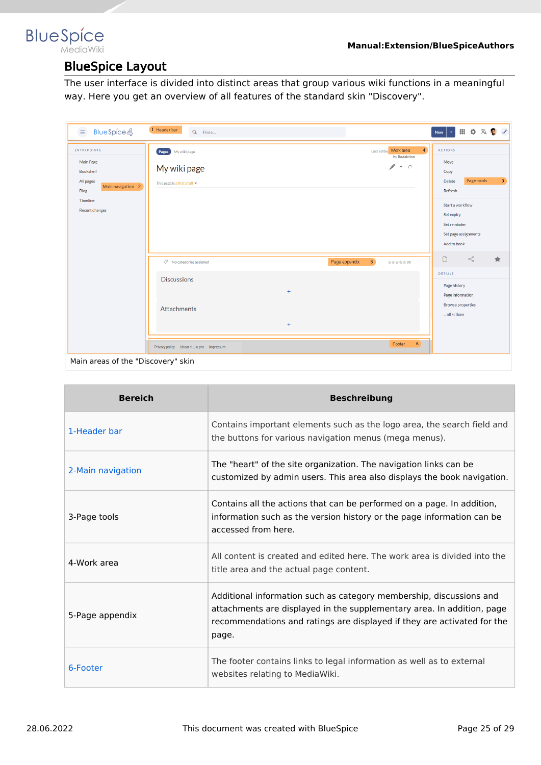### <span id="page-24-0"></span>**BlueSpice** MediaWiki

# BlueSpice Layout

The user interface is divided into distinct areas that group various wiki functions in a meaningful way. Here you get an overview of all features of the standard skin "Discovery".

| <b>BlueSpice4</b><br>$\equiv$                                                                                                             | 1 Header bar<br>Q Finde                                            |                  |                                 |                                                                | $\left\vert \mathbf{v}\right\vert$<br>New                                                                                   | Ⅲ Φ 双 ● イ                          |                |
|-------------------------------------------------------------------------------------------------------------------------------------------|--------------------------------------------------------------------|------------------|---------------------------------|----------------------------------------------------------------|-----------------------------------------------------------------------------------------------------------------------------|------------------------------------|----------------|
| <b>ENTRYPOINTS</b><br>Main Page<br><b>Bookshelf</b><br>All pages<br>Main navigation 2<br><b>Blog</b><br>Timeline<br><b>Recent changes</b> | Pages My wiki page<br>My wiki page<br>This page is a first draft = |                  |                                 | $\overline{4}$<br>Last edited Work area<br>by Redaktion<br>メーロ | <b>ACTIONS</b><br>Move<br>Copy<br><b>Delete</b><br>Refresh<br>Start a workflow<br>Set expiry<br>Set reminder<br>Add to book | Page tools<br>Set page assignments | 3 <sup>1</sup> |
|                                                                                                                                           | $\oslash$ No categories assigned                                   |                  | 5 <sub>o</sub><br>Page appendix | the the the the (O)                                            | $\Box$                                                                                                                      | $\leqslant$                        | $\star$        |
|                                                                                                                                           | <b>Discussions</b><br><b>Attachments</b>                           | $\ddot{}$<br>$+$ |                                 |                                                                | DETAILS<br>Page history<br>Page information<br><b>Browse properties</b><br>all actions                                      |                                    |                |
| Main areas of the "Discovery" skin                                                                                                        | Privacy policy About 4-1-x-pro Impressum<br>$\sim$                 |                  |                                 | 6 <sup>1</sup><br>Footer                                       |                                                                                                                             |                                    |                |

| <b>Bereich</b>    | <b>Beschreibung</b>                                                                                                                                                                                                               |
|-------------------|-----------------------------------------------------------------------------------------------------------------------------------------------------------------------------------------------------------------------------------|
| 1-Header bar      | Contains important elements such as the logo area, the search field and<br>the buttons for various navigation menus (mega menus).                                                                                                 |
| 2-Main navigation | The "heart" of the site organization. The navigation links can be<br>customized by admin users. This area also displays the book navigation.                                                                                      |
| 3-Page tools      | Contains all the actions that can be performed on a page. In addition,<br>information such as the version history or the page information can be<br>accessed from here.                                                           |
| 4-Work area       | All content is created and edited here. The work area is divided into the<br>title area and the actual page content.                                                                                                              |
| 5-Page appendix   | Additional information such as category membership, discussions and<br>attachments are displayed in the supplementary area. In addition, page<br>recommendations and ratings are displayed if they are activated for the<br>page. |
| 6-Footer          | The footer contains links to legal information as well as to external<br>websites relating to MediaWiki.                                                                                                                          |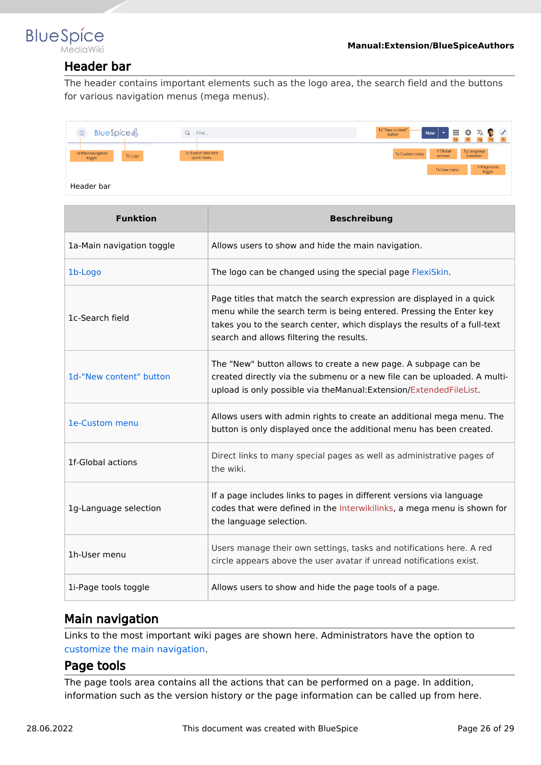<span id="page-25-1"></span>

### Header bar

The header contains important elements such as the logo area, the search field and the buttons for various navigation menus (mega menus).

| BlueSpice4<br>$\equiv$                  | Find<br>Q                          | 1d "New content"<br>Ⅲ☆ス●よ<br>$\overline{\phantom{a}}$<br><b>New</b><br>button<br><sub>1e</sub> |
|-----------------------------------------|------------------------------------|------------------------------------------------------------------------------------------------|
| 1a Main navigation<br>1b Logo<br>toggle | 1c Search field with<br>quick menu | 1f Global<br>1g Language<br>selection<br>1e Custom menu<br>actions                             |
|                                         |                                    | 1i Page tools<br>toggle<br>1h User menu                                                        |
| Header bar                              |                                    |                                                                                                |

| <b>Funktion</b>           | <b>Beschreibung</b>                                                                                                                                                                                                                                                   |
|---------------------------|-----------------------------------------------------------------------------------------------------------------------------------------------------------------------------------------------------------------------------------------------------------------------|
| 1a-Main navigation toggle | Allows users to show and hide the main navigation.                                                                                                                                                                                                                    |
| 1b-Logo                   | The logo can be changed using the special page FlexiSkin.                                                                                                                                                                                                             |
| 1c-Search field           | Page titles that match the search expression are displayed in a quick<br>menu while the search term is being entered. Pressing the Enter key<br>takes you to the search center, which displays the results of a full-text<br>search and allows filtering the results. |
| 1d-"New content" button   | The "New" button allows to create a new page. A subpage can be<br>created directly via the submenu or a new file can be uploaded. A multi-<br>upload is only possible via theManual: Extension/ExtendedFileList.                                                      |
| 1e-Custom menu            | Allows users with admin rights to create an additional mega menu. The<br>button is only displayed once the additional menu has been created.                                                                                                                          |
| 1f-Global actions         | Direct links to many special pages as well as administrative pages of<br>the wiki.                                                                                                                                                                                    |
| 1g-Language selection     | If a page includes links to pages in different versions via language<br>codes that were defined in the Interwikilinks, a mega menu is shown for<br>the language selection.                                                                                            |
| 1h-User menu              | Users manage their own settings, tasks and notifications here. A red<br>circle appears above the user avatar if unread notifications exist.                                                                                                                           |
| 1i-Page tools toggle      | Allows users to show and hide the page tools of a page.                                                                                                                                                                                                               |

### <span id="page-25-2"></span>Main navigation

Links to the most important wiki pages are shown here. Administrators have the option to [customize the main navigation.](https://en.wiki.bluespice.com/wiki/Manual:Extension/BlueSpiceDiscovery/Main_navigation)

### <span id="page-25-0"></span>Page tools

The page tools area contains all the actions that can be performed on a page. In addition, information such as the version history or the page information can be called up from here.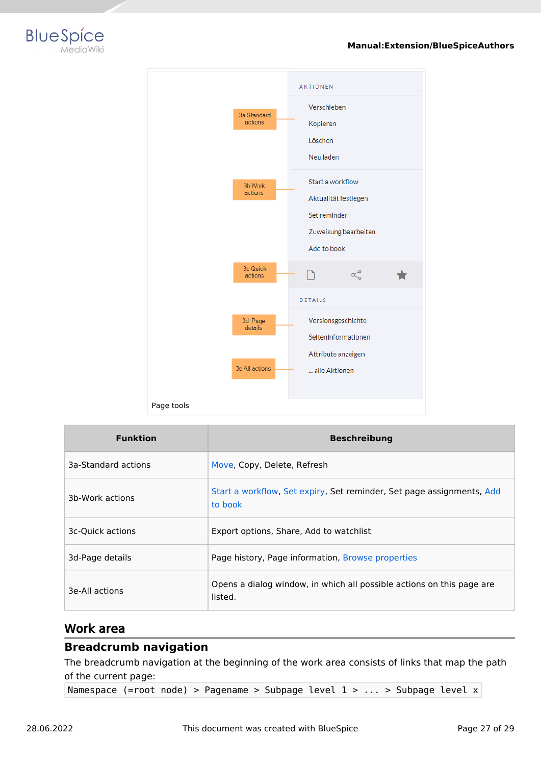



| <b>Funktion</b>     | <b>Beschreibung</b>                                                              |
|---------------------|----------------------------------------------------------------------------------|
| 3a-Standard actions | Move, Copy, Delete, Refresh                                                      |
| 3b-Work actions     | Start a workflow, Set expiry, Set reminder, Set page assignments, Add<br>to book |
| 3c-Ouick actions    | Export options, Share, Add to watchlist                                          |
| 3d-Page details     | Page history, Page information, Browse properties                                |
| 3e-All actions      | Opens a dialog window, in which all possible actions on this page are<br>listed. |

### <span id="page-26-0"></span>Work area

### <span id="page-26-1"></span>**Breadcrumb navigation**

The breadcrumb navigation at the beginning of the work area consists of links that map the path of the current page:

Namespace (=root node) > Pagename > Subpage level 1 > ... > Subpage level x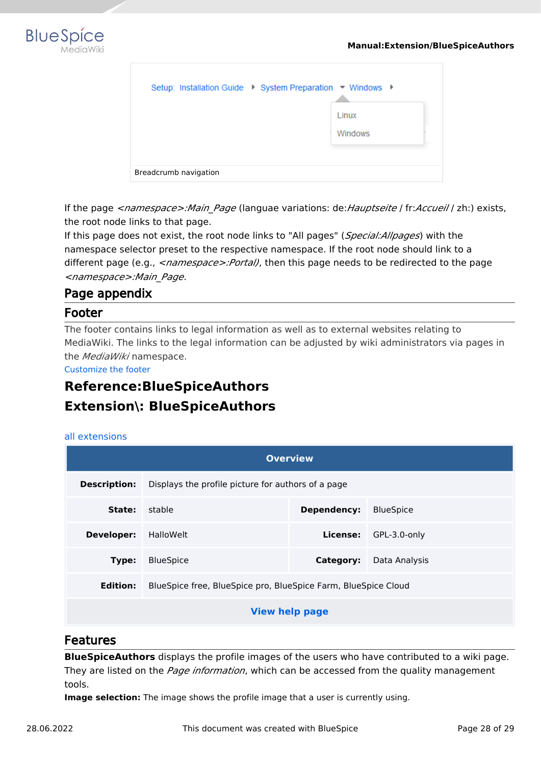

| Setup: Installation Guide ▶ System Preparation ▼ Windows ▶ |                         |
|------------------------------------------------------------|-------------------------|
|                                                            | Linux<br><b>Windows</b> |
| Breadcrumb navigation                                      |                         |

If the page *<namespace>:Main\_Page* (languae variations: de:*Hauptseite* / fr:*Accueil* / zh:) exists, the root node links to that page.

If this page does not exist, the root node links to "All pages" (*Special:Allpages*) with the namespace selector preset to the respective namespace. If the root node should link to a different page (e.g., <*namespace>:Portal)*, then this page needs to be redirected to the page *<namespace>:Main\_Page*.

### <span id="page-27-1"></span>Page appendix

### <span id="page-27-2"></span>Footer

The footer contains links to legal information as well as to external websites relating to MediaWiki. The links to the legal information can be adjusted by wiki administrators via pages in the *MediaWiki* namespace.

[Customize the footer](https://en.wiki.bluespice.com/wiki/Manual:Extension/BlueSpiceDiscovery/Footer)

# <span id="page-27-0"></span>**Reference:BlueSpiceAuthors Extension\: BlueSpiceAuthors**

#### [all extensions](https://en.wiki.bluespice.com/wiki/Category:Extension)

| <b>Overview</b>                                                                   |                                                       |  |                       |  |  |
|-----------------------------------------------------------------------------------|-------------------------------------------------------|--|-----------------------|--|--|
| <b>Description:</b><br>Displays the profile picture for authors of a page         |                                                       |  |                       |  |  |
| State:                                                                            | stable<br>Dependency:<br><b>BlueSpice</b>             |  |                       |  |  |
| <b>Developer:</b>                                                                 | HalloWelt                                             |  | License: GPL-3.0-only |  |  |
| Type:                                                                             | <b>BlueSpice</b><br>Data Analysis<br><b>Category:</b> |  |                       |  |  |
| <b>Edition:</b><br>BlueSpice free, BlueSpice pro, BlueSpice Farm, BlueSpice Cloud |                                                       |  |                       |  |  |
| <b>View help page</b>                                                             |                                                       |  |                       |  |  |

### Features

**BlueSpiceAuthors** displays the profile images of the users who have contributed to a wiki page. They are listed on the *Page information*, which can be accessed from the quality management tools.

**Image selection:** The image shows the profile image that a user is currently using.